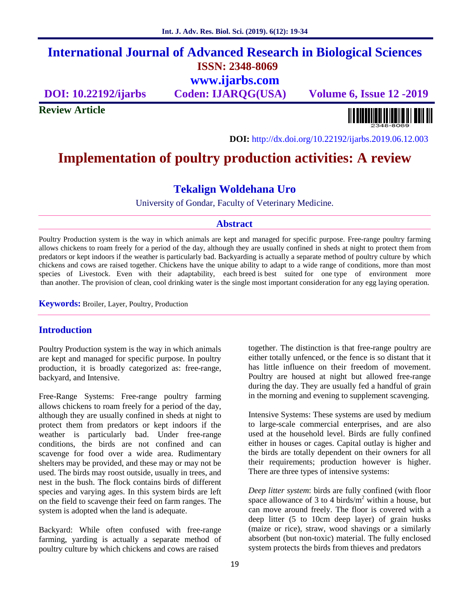# **International Journal of Advanced Research in Biological Sciences ISSN: 2348-8069 www.ijarbs.com**

**DOI: 10.22192/ijarbs Coden: IJARQG(USA) Volume 6, Issue 12 -2019**

**Review Article**

<u> Alban kalendari kalendar pada sebagai pengangkan pada atau pada atau pada atau sebagai pada atau salah pada a</u>

**DOI:** http://dx.doi.org/10.22192/ijarbs.2019.06.12.003

# **Implementation of poultry production activities: A review**

# **Tekalign Woldehana Uro**

University of Gondar, Faculty of Veterinary Medicine.

## **Abstract**

Poultry Production system is the way in which animals are kept and managed for specific purpose. Free-range poultry farming allows chickens to roam freely for a period of the day, although they are usually confined in sheds at night to protect them from predators or kept indoors if the weather is particularly bad. Backyarding is actually a separate method of poultry culture by which chickens and cows are raised together. Chickens have the unique ability to adapt to a wide range of conditions, more than most species of Livestock. Even with their adaptability, each breed is best suited for one type of environment more than another. The provision of clean, cool drinking water is the single most important consideration for any egg laying operation.

**Keywords:** Broiler, Layer, Poultry, Production

## **Introduction**

Poultry Production system is the way in which animals are kept and managed for specific purpose. In poultry production, it is broadly categorized as: free-range, backyard, and Intensive.

Free-Range Systems: Free-range poultry farming allows chickens to roam freely for a period of the day, although they are usually confined in sheds at night to protect them from predators or kept indoors if the weather is particularly bad. Under free-range conditions, the birds are not confined and can scavenge for food over a wide area. Rudimentary shelters may be provided, and these may or may not be used. The birds may roost outside, usually in trees, and nest in the bush. The flock contains birds of different species and varying ages. In this system birds are left on the field to scavenge their feed on farm ranges. The system is adopted when the land is adequate.

Backyard: While often confused with free-range farming, yarding is actually a separate method of poultry culture by which chickens and cows are raised

together. The distinction is that free-range poultry are either totally unfenced, or the fence is so distant that it has little influence on their freedom of movement. Poultry are housed at night but allowed free-range during the day. They are usually fed a handful of grain in the morning and evening to supplement scavenging.

Intensive Systems: These systems are used by medium to large-scale commercial enterprises, and are also used at the household level. Birds are fully confined either in houses or cages. Capital outlay is higher and the birds are totally dependent on their owners for all their requirements; production however is higher. There are three types of intensive systems:

*Deep litter system*: birds are fully confined (with floor space allowance of 3 to 4 birds/ $m^2$  within a house, but can move around freely. The floor is covered with a deep litter (5 to 10cm deep layer) of grain husks (maize or rice), straw, wood shavings or a similarly absorbent (but non-toxic) material. The fully enclosed system protects the birds from thieves and predators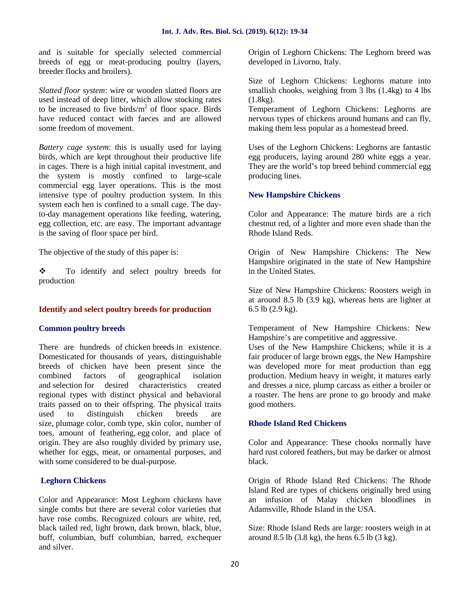and is suitable for specially selected commercial breeds of egg or meat-producing poultry (layers, breeder flocks and broilers).

*Slatted floor system*: wire or wooden slatted floors are used instead of deep litter, which allow stocking rates to be increased to five birds/ $m<sup>2</sup>$  of floor space. Birds have reduced contact with faeces and are allowed some freedom of movement.

*Battery cage system*: this is usually used for laying birds, which are kept throughout their productive life in cages. There is a high initial capital investment, and the system is mostly confined to large-scale commercial egg layer operations. This is the most intensive type of poultry production system. In this system each hen is confined to a small cage. The dayto-day management operations like feeding, watering, egg collection, etc. are easy. The important advantage is the saving of floor space per bird.

The objective of the study of this paper is:

\* To identify and select poultry breeds for production

## **Identify and select poultry breeds for production**

#### **Common poultry breeds**

There are hundreds of chicken breeds in existence. Domesticated for thousands of years, distinguishable breeds of chicken have been present since the combined factors of geographical isolation and selection for desired characteristics created regional types with distinct physical and behavioral traits passed on to their offspring. The physical traits used to distinguish chicken breeds are size, plumage color, comb type, skin color, number of toes, amount of feathering, egg color, and place of origin. They are also roughly divided by primary use, whether for eggs, meat, or ornamental purposes, and with some considered to be dual-purpose.

## **Leghorn Chickens**

Color and Appearance: Most Leghorn chickens have single combs but there are several color varieties that have rose combs. Recognized colours are white, red, black tailed red, light brown, dark brown, black, blue, buff, columbian, buff columbian, barred, exchequer and silver.

Origin of Leghorn Chickens: The Leghorn breed was developed in Livorno, Italy.

Size of Leghorn Chickens: Leghorns mature into smallish chooks, weighing from 3 lbs (1.4kg) to 4 lbs  $(1.8kg)$ .

Temperament of Leghorn Chickens: Leghorns are nervous types of chickens around humans and can fly, making them less popular as a homestead breed.

Uses of the Leghorn Chickens: Leghorns are fantastic egg producers, laying around 280 white eggs a year. They are the world's top breed behind commercial egg producing lines.

## **New Hampshire Chickens**

Color and Appearance: The mature birds are a rich chestnut red, of a lighter and more even shade than the Rhode Island Reds.

Origin of New Hampshire Chickens: The New Hampshire originated in the state of New Hampshire in the United States.

Size of New Hampshire Chickens: Roosters weigh in at around 8.5 lb (3.9 kg), whereas hens are lighter at 6.5 lb (2.9 kg).

Temperament of New Hampshire Chickens: New Hampshire's are competitive and aggressive.

Uses of the New Hampshire Chickens; while it is a fair producer of large brown eggs, the New Hampshire was developed more for meat production than egg production. Medium heavy in weight, it matures early and dresses a nice, plump carcass as either a broiler or a roaster. The hens are prone to go broody and make good mothers.

#### **Rhode Island Red Chickens**

Color and Appearance: These chooks normally have hard rust colored feathers, but may be darker or almost black.

Origin of Rhode Island Red Chickens: The Rhode Island Red are types of chickens originally bred using an infusion of Malay chicken bloodlines in Adamsville, Rhode Island in the USA.

Size: Rhode Island Reds are large: roosters weigh in at around 8.5 lb (3.8 kg), the hens 6.5 lb (3 kg).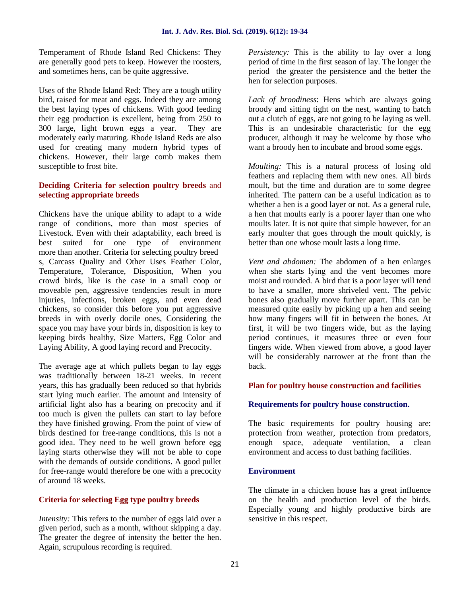Temperament of Rhode Island Red Chickens: They are generally good pets to keep. However the roosters, and sometimes hens, can be quite aggressive.

Uses of the Rhode Island Red: They are a tough utility bird, raised for meat and eggs. Indeed they are among the best laying types of chickens. With good feeding their egg production is excellent, being from 250 to 300 large, light brown eggs a year. They are moderately early maturing. Rhode Island Reds are also used for creating many modern hybrid types of chickens. However, their large comb makes them susceptible to frost bite.

## **Deciding Criteria for selection poultry breeds** and **selecting appropriate breeds**

Chickens have the unique ability to adapt to a wide range of conditions, more than most species of Livestock. Even with their adaptability, each breed is best suited for one type of environment more than another. Criteria for selecting poultry breed s, Carcass Quality and Other Uses Feather Color, Temperature, Tolerance, Disposition, When you crowd birds, like is the case in a small coop or moveable pen, aggressive tendencies result in more injuries, infections, broken eggs, and even dead chickens, so consider this before you put aggressive breeds in with overly docile ones, Considering the space you may have your birds in, disposition is key to keeping birds healthy, Size Matters, Egg Color and Laying Ability, A good laying record and Precocity.

The average age at which pullets began to lay eggs was traditionally between 18-21 weeks. In recent years, this has gradually been reduced so that hybrids start lying much earlier. The amount and intensity of artificial light also has a bearing on precocity and if too much is given the pullets can start to lay before they have finished growing. From the point of view of birds destined for free-range conditions, this is not a good idea. They need to be well grown before egg laying starts otherwise they will not be able to cope with the demands of outside conditions. A good pullet for free-range would therefore be one with a precocity of around 18 weeks.

## **Criteria for selecting Egg type poultry breeds**

*Intensity:* This refers to the number of eggs laid over a given period, such as a month, without skipping a day. The greater the degree of intensity the better the hen. Again, scrupulous recording is required.

*Persistency:* This is the ability to lay over a long period of time in the first season of lay. The longer the period the greater the persistence and the better the hen for selection purposes.

*Lack of broodiness*: Hens which are always going broody and sitting tight on the nest, wanting to hatch out a clutch of eggs, are not going to be laying as well. This is an undesirable characteristic for the egg producer, although it may be welcome by those who want a broody hen to incubate and brood some eggs.

*Moulting:* This is a natural process of losing old feathers and replacing them with new ones. All birds moult, but the time and duration are to some degree inherited. The pattern can be a useful indication as to whether a hen is a good layer or not. As a general rule, a hen that moults early is a poorer layer than one who moults later. It is not quite that simple however, for an early moulter that goes through the moult quickly, is better than one whose moult lasts a long time.

*Vent and abdomen:* The abdomen of a hen enlarges when she starts lying and the vent becomes more moist and rounded. A bird that is a poor layer will tend to have a smaller, more shriveled vent. The pelvic bones also gradually move further apart. This can be measured quite easily by picking up a hen and seeing how many fingers will fit in between the bones. At first, it will be two fingers wide, but as the laying period continues, it measures three or even four fingers wide. When viewed from above, a good layer will be considerably narrower at the front than the back.

## **Plan for poultry house construction and facilities**

#### **Requirements for poultry house construction.**

The basic requirements for poultry housing are: protection from weather, protection from predators, space, adequate ventilation, a clean environment and access to dust bathing facilities.

## **Environment**

The climate in a chicken house has a great influence on the health and production level of the birds. Especially young and highly productive birds are sensitive in this respect.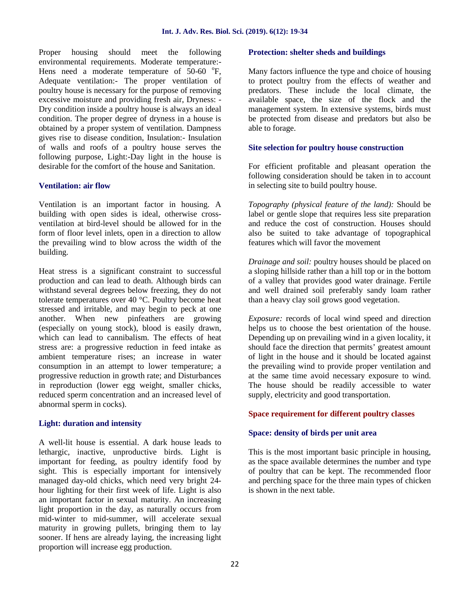Proper housing should meet the following environmental requirements. Moderate temperature:- Hens need a moderate temperature of  $50-60$  °F, Adequate ventilation:- The proper ventilation of poultry house is necessary for the purpose of removing excessive moisture and providing fresh air, Dryness: - Dry condition inside a poultry house is always an ideal condition. The proper degree of dryness in a house is obtained by a proper system of ventilation. Dampness gives rise to disease condition, Insulation:- Insulation of walls and roofs of a poultry house serves the following purpose, Light:-Day light in the house is desirable for the comfort of the house and Sanitation.

## **Ventilation: air flow**

Ventilation is an important factor in housing. A building with open sides is ideal, otherwise cross ventilation at bird-level should be allowed for in the form of floor level inlets, open in a direction to allow the prevailing wind to blow across the width of the building.

Heat stress is a significant constraint to successful production and can lead to death. Although birds can withstand several degrees below freezing, they do not tolerate temperatures over 40 °C. Poultry become heat stressed and irritable, and may begin to peck at one another. When new pinfeathers are growing (especially on young stock), blood is easily drawn, which can lead to cannibalism. The effects of heat stress are: a progressive reduction in feed intake as ambient temperature rises; an increase in water consumption in an attempt to lower temperature; a progressive reduction in growth rate; and Disturbances in reproduction (lower egg weight, smaller chicks, reduced sperm concentration and an increased level of abnormal sperm in cocks).

## **Light: duration and intensity**

A well-lit house is essential. A dark house leads to lethargic, inactive, unproductive birds. Light is important for feeding, as poultry identify food by sight. This is especially important for intensively managed day-old chicks, which need very bright 24 hour lighting for their first week of life. Light is also an important factor in sexual maturity. An increasing light proportion in the day, as naturally occurs from mid-winter to mid-summer, will accelerate sexual maturity in growing pullets, bringing them to lay sooner. If hens are already laying, the increasing light proportion will increase egg production.

## **Protection: shelter sheds and buildings**

Many factors influence the type and choice of housing to protect poultry from the effects of weather and predators. These include the local climate, the available space, the size of the flock and the management system. In extensive systems, birds must be protected from disease and predators but also be able to forage.

## **Site selection for poultry house construction**

For efficient profitable and pleasant operation the following consideration should be taken in to account in selecting site to build poultry house.

*Topography (physical feature of the land):* Should be label or gentle slope that requires less site preparation and reduce the cost of construction. Houses should also be suited to take advantage of topographical features which will favor the movement

*Drainage and soil:* poultry houses should be placed on a sloping hillside rather than a hill top or in the bottom of a valley that provides good water drainage. Fertile and well drained soil preferably sandy loam rather than a heavy clay soil grows good vegetation.

*Exposure:* records of local wind speed and direction helps us to choose the best orientation of the house. Depending up on prevailing wind in a given locality, it should face the direction that permits' greatest amount of light in the house and it should be located against the prevailing wind to provide proper ventilation and at the same time avoid necessary exposure to wind. The house should be readily accessible to water supply, electricity and good transportation.

## **Space requirement for different poultry classes**

## **Space: density of birds per unit area**

This is the most important basic principle in housing, as the space available determines the number and type of poultry that can be kept. The recommended floor and perching space for the three main types of chicken is shown in the next table.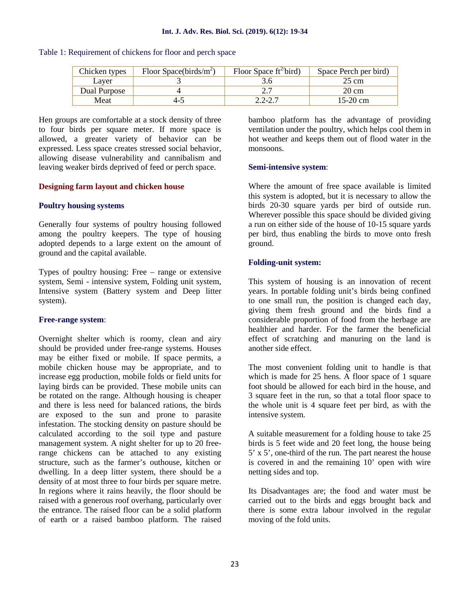| Chicken types | Floor Space(birds/ $m^2$ ) | Floor Space $ft^2$ bird) | Space Perch per bird) |
|---------------|----------------------------|--------------------------|-----------------------|
| Laver         |                            |                          | 25 cm                 |
| Dual Purpose  |                            |                          | 20 cm                 |
| Meat          | 4-2                        | 2.2-2.7                  | 15-20 cm              |

Table 1: Requirement of chickens for floor and perch space

Hen groups are comfortable at a stock density of three to four birds per square meter. If more space is allowed, a greater variety of behavior can be expressed. Less space creates stressed social behavior, allowing disease vulnerability and cannibalism and leaving weaker birds deprived of feed or perch space.

## **Designing farm layout and chicken house**

#### **Poultry housing systems**

Generally four systems of poultry housing followed among the poultry keepers. The type of housing adopted depends to a large extent on the amount of ground and the capital available.

Types of poultry housing: Free – range or extensive system, Semi - intensive system, Folding unit system, Intensive system (Battery system and Deep litter system).

#### **Free-range system**:

Overnight shelter which is roomy, clean and airy should be provided under free-range systems. Houses may be either fixed or mobile. If space permits, a mobile chicken house may be appropriate, and to increase egg production, mobile folds or field units for laying birds can be provided. These mobile units can be rotated on the range. Although housing is cheaper and there is less need for balanced rations, the birds are exposed to the sun and prone to parasite infestation. The stocking density on pasture should be calculated according to the soil type and pasture management system. A night shelter for up to 20 freerange chickens can be attached to any existing structure, such as the farmer's outhouse, kitchen or dwelling. In a deep litter system, there should be a density of at most three to four birds per square metre. In regions where it rains heavily, the floor should be raised with a generous roof overhang, particularly over the entrance. The raised floor can be a solid platform of earth or a raised bamboo platform. The raised bamboo platform has the advantage of providing ventilation under the poultry, which helps cool them in hot weather and keeps them out of flood water in the monsoons.

#### **Semi-intensive system**:

Where the amount of free space available is limited this system is adopted, but it is necessary to allow the birds 20-30 square yards per bird of outside run. Wherever possible this space should be divided giving a run on either side of the house of 10-15 square yards per bird, thus enabling the birds to move onto fresh ground.

#### **Folding-unit system:**

This system of housing is an innovation of recent years. In portable folding unit's birds being confined to one small run, the position is changed each day, giving them fresh ground and the birds find a considerable proportion of food from the herbage are healthier and harder. For the farmer the beneficial effect of scratching and manuring on the land is another side effect.

The most convenient folding unit to handle is that which is made for 25 hens. A floor space of 1 square foot should be allowed for each bird in the house, and 3 square feet in the run, so that a total floor space to the whole unit is 4 square feet per bird, as with the intensive system.

A suitable measurement for a folding house to take 25 birds is 5 feet wide and 20 feet long, the house being 5' x 5', one-third of the run. The part nearest the house is covered in and the remaining 10' open with wire netting sides and top.

Its Disadvantages are; the food and water must be carried out to the birds and eggs brought back and there is some extra labour involved in the regular moving of the fold units.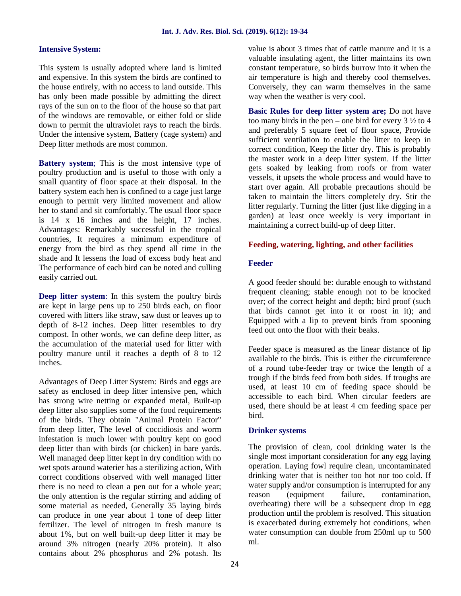## **Intensive System:**

This system is usually adopted where land is limited and expensive. In this system the birds are confined to the house entirely, with no access to land outside. This has only been made possible by admitting the direct rays of the sun on to the floor of the house so that part of the windows are removable, or either fold or slide down to permit the ultraviolet rays to reach the birds. Under the intensive system, Battery (cage system) and Deep litter methods are most common.

**Battery system**; This is the most intensive type of poultry production and is useful to those with only a small quantity of floor space at their disposal. In the battery system each hen is confined to a cage just large enough to permit very limited movement and allow her to stand and sit comfortably. The usual floor space is 14 x 16 inches and the height, 17 inches. Advantages: Remarkably successful in the tropical countries, It requires a minimum expenditure of energy from the bird as they spend all time in the shade and It lessens the load of excess body heat and The performance of each bird can be noted and culling easily carried out.

**Deep litter system**: In this system the poultry birds are kept in large pens up to 250 birds each, on floor covered with litters like straw, saw dust or leaves up to depth of 8-12 inches. Deep litter resembles to dry compost. In other words, we can define deep litter, as the accumulation of the material used for litter with poultry manure until it reaches a depth of 8 to 12 inches.

Advantages of Deep Litter System: Birds and eggs are safety as enclosed in deep litter intensive pen, which has strong wire netting or expanded metal, Built-up deep litter also supplies some of the food requirements of the birds. They obtain "Animal Protein Factor" from deep litter, The level of coccidiosis and worm infestation is much lower with poultry kept on good deep litter than with birds (or chicken) in bare yards. Well managed deep litter kept in dry condition with no wet spots around waterier has a sterilizing action, With correct conditions observed with well managed litter there is no need to clean a pen out for a whole year; the only attention is the regular stirring and adding of some material as needed, Generally 35 laying birds can produce in one year about 1 tone of deep litter fertilizer. The level of nitrogen in fresh manure is about 1%, but on well built-up deep litter it may be around 3% nitrogen (nearly 20% protein). It also contains about 2% phosphorus and 2% potash. Its

value is about 3 times that of cattle manure and It is a valuable insulating agent, the litter maintains its own constant temperature, so birds burrow into it when the air temperature is high and thereby cool themselves. Conversely, they can warm themselves in the same way when the weather is very cool.

**Basic Rules for deep litter system are;** Do not have too many birds in the pen – one bird for every  $3\frac{1}{2}$  to 4 and preferably 5 square feet of floor space, Provide sufficient ventilation to enable the litter to keep in correct condition, Keep the litter dry. This is probably the master work in a deep litter system. If the litter gets soaked by leaking from roofs or from water vessels, it upsets the whole process and would have to start over again. All probable precautions should be taken to maintain the litters completely dry. Stir the litter regularly. Turning the litter (just like digging in a garden) at least once weekly is very important in maintaining a correct build-up of deep litter.

## **Feeding, watering, lighting, and other facilities**

## **Feeder**

A good feeder should be: durable enough to withstand frequent cleaning; stable enough not to be knocked over; of the correct height and depth; bird proof (such that birds cannot get into it or roost in it); and Equipped with a lip to prevent birds from spooning feed out onto the floor with their beaks.

Feeder space is measured as the linear distance of lip available to the birds. This is either the circumference of a round tube-feeder tray or twice the length of a trough if the birds feed from both sides. If troughs are used, at least 10 cm of feeding space should be accessible to each bird. When circular feeders are used, there should be at least 4 cm feeding space per bird.

## **Drinker systems**

The provision of clean, cool drinking water is the single most important consideration for any egg laying operation. Laying fowl require clean, uncontaminated drinking water that is neither too hot nor too cold. If water supply and/or consumption is interrupted for any reason (equipment failure, contamination, overheating) there will be a subsequent drop in egg production until the problem is resolved. This situation is exacerbated during extremely hot conditions, when water consumption can double from 250ml up to 500 ml.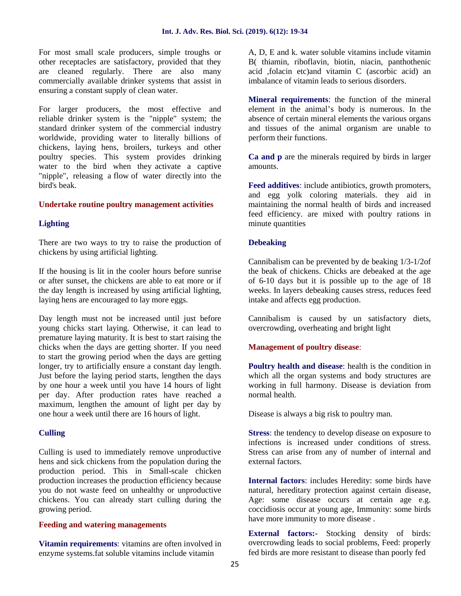For most small scale producers, simple troughs or other receptacles are satisfactory, provided that they are cleaned regularly. There are also many commercially available drinker systems that assist in ensuring a constant supply of clean water.

For larger producers, the most effective and reliable drinker system is the "nipple" system; the standard drinker system of the commercial industry worldwide, providing water to literally billions of chickens, laying hens, broilers, turkeys and other poultry species. This system provides drinking water to the bird when they activate a captive "nipple", releasing a flow of water directly into the bird's beak.

#### **Undertake routine poultry management activities**

## **Lighting**

There are two ways to try to raise the production of chickens by using artificial lighting.

If the housing is lit in the cooler hours before sunrise or after sunset, the chickens are able to eat more or if the day length is increased by using artificial lighting, laying hens are encouraged to lay more eggs.

Day length must not be increased until just before young chicks start laying. Otherwise, it can lead to premature laying maturity. It is best to start raising the chicks when the days are getting shorter. If you need to start the growing period when the days are getting longer, try to artificially ensure a constant day length. Just before the laying period starts, lengthen the days by one hour a week until you have 14 hours of light per day. After production rates have reached a maximum, lengthen the amount of light per day by one hour a week until there are 16 hours of light.

#### **Culling**

Culling is used to immediately remove unproductive hens and sick chickens from the population during the production period. This in Small-scale chicken production increases the production efficiency because you do not waste feed on unhealthy or unproductive chickens. You can already start culling during the growing period.

#### **Feeding and watering managements**

**Vitamin requirements**: vitamins are often involved in enzyme systems.fat soluble vitamins include vitamin

A, D, E and k. water soluble vitamins include vitamin B( thiamin, riboflavin, biotin, niacin, panthothenic acid ,folacin etc)and vitamin C (ascorbic acid) an imbalance of vitamin leads to serious disorders.

**Mineral requirements**: the function of the mineral element in the animal's body is numerous. In the absence of certain mineral elements the various organs and tissues of the animal organism are unable to perform their functions.

**Ca and p** are the minerals required by birds in larger amounts.

**Feed additives**: include antibiotics, growth promoters, and egg yolk coloring materials. they aid in maintaining the normal health of birds and increased feed efficiency. are mixed with poultry rations in minute quantities

#### **Debeaking**

Cannibalism can be prevented by de beaking 1/3-1/2of the beak of chickens. Chicks are debeaked at the age of 6-10 days but it is possible up to the age of 18 weeks. In layers debeaking causes stress, reduces feed intake and affects egg production.

Cannibalism is caused by un satisfactory diets, overcrowding, overheating and bright light

## **Management of poultry disease**:

**Poultry health and disease**: health is the condition in which all the organ systems and body structures are working in full harmony. Disease is deviation from normal health.

Disease is always a big risk to poultry man.

**Stress**: the tendency to develop disease on exposure to infections is increased under conditions of stress. Stress can arise from any of number of internal and external factors.

**Internal factors**: includes Heredity: some birds have natural, hereditary protection against certain disease, Age: some disease occurs at certain age e.g. coccidiosis occur at young age, Immunity: some birds have more immunity to more disease .

**External factors:-** Stocking density of birds: overcrowding leads to social problems, Feed: properly fed birds are more resistant to disease than poorly fed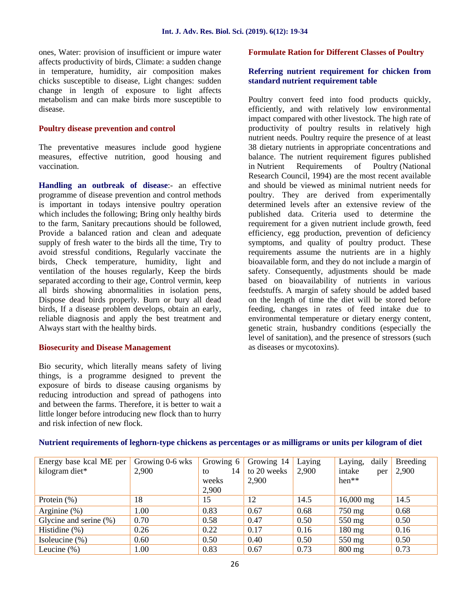ones, Water: provision of insufficient or impure water affects productivity of birds, Climate: a sudden change in temperature, humidity, air composition makes chicks susceptible to disease, Light changes: sudden change in length of exposure to light affects metabolism and can make birds more susceptible to disease.

## **Poultry disease prevention and control**

The preventative measures include good hygiene measures, effective nutrition, good housing and vaccination.

**Handling an outbreak of disease**:- an effective programme of disease prevention and control methods is important in todays intensive poultry operation which includes the following; Bring only healthy birds to the farm, Sanitary precautions should be followed, Provide a balanced ration and clean and adequate supply of fresh water to the birds all the time, Try to avoid stressful conditions, Regularly vaccinate the birds, Check temperature, humidity, light and ventilation of the houses regularly, Keep the birds separated according to their age, Control vermin, keep all birds showing abnormalities in isolation pens, Dispose dead birds properly. Burn or bury all dead birds, If a disease problem develops, obtain an early, reliable diagnosis and apply the best treatment and Always start with the healthy birds.

## **Biosecurity and Disease Management**

Bio security, which literally means safety of living things, is a programme designed to prevent the exposure of birds to disease causing organisms by reducing introduction and spread of pathogens into and between the farms. Therefore, it is better to wait a little longer before introducing new flock than to hurry and risk infection of new flock.

## **Formulate Ration for Different Classes of Poultry**

## **Referring nutrient requirement for chicken from standard nutrient requirement table**

Poultry convert feed into food products quickly, efficiently, and with relatively low environmental impact compared with other livestock. The high rate of productivity of poultry results in relatively high nutrient needs. Poultry require the presence of at least 38 dietary nutrients in appropriate concentrations and balance. The nutrient requirement figures published in Nutrient Requirements of Poultry (National Research Council, 1994) are the most recent available and should be viewed as minimal nutrient needs for poultry. They are derived from experimentally determined levels after an extensive review of the published data. Criteria used to determine the requirement for a given nutrient include growth, feed efficiency, egg production, prevention of deficiency symptoms, and quality of poultry product. These requirements assume the nutrients are in a highly bioavailable form, and they do not include a margin of safety. Consequently, adjustments should be made based on bioavailability of nutrients in various feedstuffs. A margin of safety should be added based on the length of time the diet will be stored before feeding, changes in rates of feed intake due to environmental temperature or dietary energy content, genetic strain, husbandry conditions (especially the level of sanitation), and the presence of stressors (such as diseases or mycotoxins).

| Energy base kcal ME per<br>kilogram diet* | Growing 0-6 wks<br>2,900 | Growing 6<br>14<br>to<br>weeks<br>2,900 | Growing 14<br>to 20 weeks<br>2,900 | Laying<br>2,900 | daily<br>Laying,<br>intake<br>per<br>$hen**$ | Breeding<br>2,900 |
|-------------------------------------------|--------------------------|-----------------------------------------|------------------------------------|-----------------|----------------------------------------------|-------------------|
| Protein $(\%)$                            | 18                       | 15                                      | 12                                 | 14.5            | $16,000$ mg                                  | 14.5              |
| Arginine $(\%)$                           | 1.00                     | 0.83                                    | 0.67                               | 0.68            | 750 mg                                       | 0.68              |
| Glycine and serine $(\% )$                | 0.70                     | 0.58                                    | 0.47                               | 0.50            | 550 mg                                       | 0.50              |
| Histidine $(\%)$                          | 0.26                     | 0.22                                    | 0.17                               | 0.16            | $180 \text{ mg}$                             | 0.16              |
| Isoleucine $(\%)$                         | 0.60                     | 0.50                                    | 0.40                               | 0.50            | $550 \text{ mg}$                             | 0.50              |
| Leucine $(\%)$                            | 1.00                     | 0.83                                    | 0.67                               | 0.73            | $800$ mg                                     | 0.73              |

#### **Nutrient requirements of leghorn-type chickens as percentages or as milligrams or units per kilogram of diet**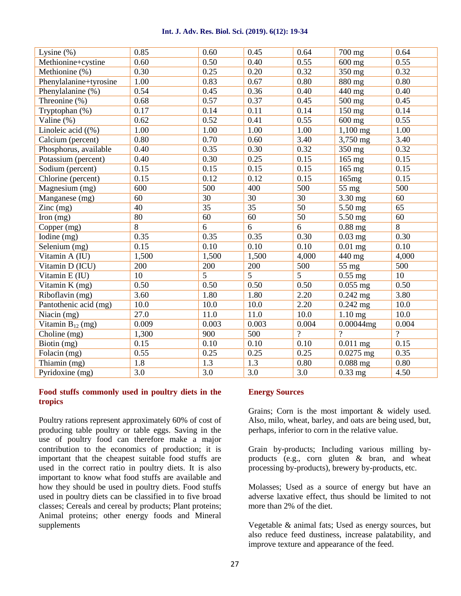#### **Int. J. Adv. Res. Biol. Sci. (2019). 6(12): 19-34**

| Lysine $(\%)$          | 0.85  | 0.60  | 0.45  | 0.64           | 700 mg      | 0.64           |
|------------------------|-------|-------|-------|----------------|-------------|----------------|
| Methionine+cystine     | 0.60  | 0.50  | 0.40  | 0.55           | 600 mg      | 0.55           |
| Methionine (%)         | 0.30  | 0.25  | 0.20  | 0.32           | 350 mg      | 0.32           |
| Phenylalanine+tyrosine | 1.00  | 0.83  | 0.67  | 0.80           | 880 mg      | 0.80           |
| Phenylalanine (%)      | 0.54  | 0.45  | 0.36  | 0.40           | 440 mg      | 0.40           |
| Threonine (%)          | 0.68  | 0.57  | 0.37  | 0.45           | 500 mg      | 0.45           |
| Tryptophan (%)         | 0.17  | 0.14  | 0.11  | 0.14           | $150$ mg    | 0.14           |
| Valine $(\%)$          | 0.62  | 0.52  | 0.41  | 0.55           | $600$ mg    | 0.55           |
| Linoleic acid $(\%)$   | 1.00  | 1.00  | 1.00  | 1.00           | $1,100$ mg  | 1.00           |
| Calcium (percent)      | 0.80  | 0.70  | 0.60  | 3.40           | 3,750 mg    | 3.40           |
| Phosphorus, available  | 0.40  | 0.35  | 0.30  | 0.32           | 350 mg      | 0.32           |
| Potassium (percent)    | 0.40  | 0.30  | 0.25  | 0.15           | 165 mg      | 0.15           |
| Sodium (percent)       | 0.15  | 0.15  | 0.15  | 0.15           | $165$ mg    | 0.15           |
| Chlorine (percent)     | 0.15  | 0.12  | 0.12  | 0.15           | 165mg       | 0.15           |
| Magnesium (mg)         | 600   | 500   | 400   | 500            | 55 mg       | 500            |
| Manganese (mg)         | 60    | 30    | 30    | 30             | 3.30 mg     | 60             |
| $\text{Zinc}$ (mg)     | 40    | 35    | 35    | 50             | 5.50 mg     | 65             |
| Iron $(mg)$            | 80    | 60    | 60    | 50             | 5.50 mg     | 60             |
| Copper (mg)            | 8     | 6     | 6     | 6              | $0.88$ mg   | 8              |
| Iodine (mg)            | 0.35  | 0.35  | 0.35  | 0.30           | $0.03$ mg   | 0.30           |
| Selenium (mg)          | 0.15  | 0.10  | 0.10  | 0.10           | $0.01$ mg   | 0.10           |
| Vitamin A (IU)         | 1,500 | 1,500 | 1,500 | 4,000          | 440 mg      | 4,000          |
| Vitamin D (ICU)        | 200   | 200   | 200   | 500            | $55$ mg     | 500            |
| Vitamin E (IU)         | 10    | 5     | 5     | 5              | $0.55$ mg   | 10             |
| Vitamin K (mg)         | 0.50  | 0.50  | 0.50  | 0.50           | $0.055$ mg  | 0.50           |
| Riboflavin (mg)        | 3.60  | 1.80  | 1.80  | 2.20           | $0.242$ mg  | 3.80           |
| Pantothenic acid (mg)  | 10.0  | 10.0  | 10.0  | 2.20           | $0.242$ mg  | 10.0           |
| Niacin (mg)            | 27.0  | 11.0  | 11.0  | 10.0           | $1.10$ mg   | 10.0           |
| Vitamin $B_{12}$ (mg)  | 0.009 | 0.003 | 0.003 | 0.004          | 0.00044mg   | 0.004          |
| Choline (mg)           | 1,300 | 900   | 500   | $\overline{?}$ | $\gamma$    | $\overline{?}$ |
| Biotin (mg)            | 0.15  | 0.10  | 0.10  | 0.10           | $0.011$ mg  | 0.15           |
| Folacin (mg)           | 0.55  | 0.25  | 0.25  | 0.25           | $0.0275$ mg | 0.35           |
| Thiamin (mg)           | 1.8   | 1.3   | 1.3   | 0.80           | $0.088$ mg  | 0.80           |
| Pyridoxine (mg)        | 3.0   | 3.0   | 3.0   | 3.0            | $0.33$ mg   | 4.50           |

## **Food stuffs commonly used in poultry diets in the tropics**

Poultry rations represent approximately 60% of cost of producing table poultry or table eggs. Saving in the use of poultry food can therefore make a major contribution to the economics of production; it is important that the cheapest suitable food stuffs are used in the correct ratio in poultry diets. It is also important to know what food stuffs are available and how they should be used in poultry diets. Food stuffs used in poultry diets can be classified in to five broad classes; Cereals and cereal by products; Plant proteins; Animal proteins; other energy foods and Mineral supplements

#### **Energy Sources**

Grains; Corn is the most important & widely used. Also, milo, wheat, barley, and oats are being used, but, perhaps, inferior to corn in the relative value.

Grain by-products; Including various milling by products (e.g., corn gluten & bran, and wheat processing by-products), brewery by-products, etc.

Molasses; Used as a source of energy but have an adverse laxative effect, thus should be limited to not more than 2% of the diet.

Vegetable & animal fats; Used as energy sources, but also reduce feed dustiness, increase palatability, and improve texture and appearance of the feed.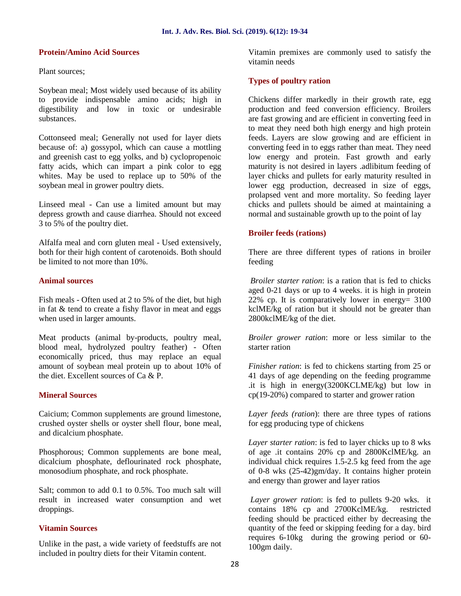#### **Protein/Amino Acid Sources**

Plant sources;

Soybean meal; Most widely used because of its ability to provide indispensable amino acids; high in digestibility and low in toxic or undesirable substances.

Cottonseed meal; Generally not used for layer diets because of: a) gossypol, which can cause a mottling and greenish cast to egg yolks, and b) cyclopropenoic fatty acids, which can impart a pink color to egg whites. May be used to replace up to 50% of the soybean meal in grower poultry diets.

Linseed meal - Can use a limited amount but may depress growth and cause diarrhea. Should not exceed 3 to 5% of the poultry diet.

Alfalfa meal and corn gluten meal - Used extensively, both for their high content of carotenoids. Both should be limited to not more than 10%.

#### **Animal sources**

Fish meals - Often used at 2 to 5% of the diet, but high in fat & tend to create a fishy flavor in meat and eggs when used in larger amounts.

Meat products (animal by-products, poultry meal, blood meal, hydrolyzed poultry feather) - Often economically priced, thus may replace an equal amount of soybean meal protein up to about 10% of the diet. Excellent sources of Ca & P.

#### **Mineral Sources**

Caicium; Common supplements are ground limestone, crushed oyster shells or oyster shell flour, bone meal, and dicalcium phosphate.

Phosphorous; Common supplements are bone meal, dicalcium phosphate, deflourinated rock phosphate, monosodium phosphate, and rock phosphate.

Salt; common to add 0.1 to 0.5%. Too much salt will result in increased water consumption and wet droppings.

#### **Vitamin Sources**

Unlike in the past, a wide variety of feedstuffs are not included in poultry diets for their Vitamin content.

Vitamin premixes are commonly used to satisfy the vitamin needs

## **Types of poultry ration**

Chickens differ markedly in their growth rate, egg production and feed conversion efficiency. Broilers are fast growing and are efficient in converting feed in to meat they need both high energy and high protein feeds. Layers are slow growing and are efficient in converting feed in to eggs rather than meat. They need low energy and protein. Fast growth and early maturity is not desired in layers .adlibitum feeding of layer chicks and pullets for early maturity resulted in lower egg production, decreased in size of eggs, prolapsed vent and more mortality. So feeding layer chicks and pullets should be aimed at maintaining a normal and sustainable growth up to the point of lay

#### **Broiler feeds (rations)**

There are three different types of rations in broiler feeding

*Broiler starter ration*: is a ration that is fed to chicks aged 0-21 days or up to 4 weeks. it is high in protein 22% cp. It is comparatively lower in energy= 3100 kclME/kg of ration but it should not be greater than 2800kclME/kg of the diet.

*Broiler grower ration*: more or less similar to the starter ration

*Finisher ration*: is fed to chickens starting from 25 or 41 days of age depending on the feeding programme .it is high in energy(3200KCLME/kg) but low in cp(19-20%) compared to starter and grower ration

*Layer feeds (ration*): there are three types of rations for egg producing type of chickens

*Layer starter ration*: is fed to layer chicks up to 8 wks of age .it contains 20% cp and 2800KclME/kg. an individual chick requires 1.5-2.5 kg feed from the age of 0-8 wks (25-42)gm/day. It contains higher protein and energy than grower and layer ratios

*Layer grower ration*: is fed to pullets 9-20 wks. it contains 18% cp and 2700KclME/kg. restricted feeding should be practiced either by decreasing the quantity of the feed or skipping feeding for a day. bird requires 6-10kg during the growing period or 60- 100gm daily.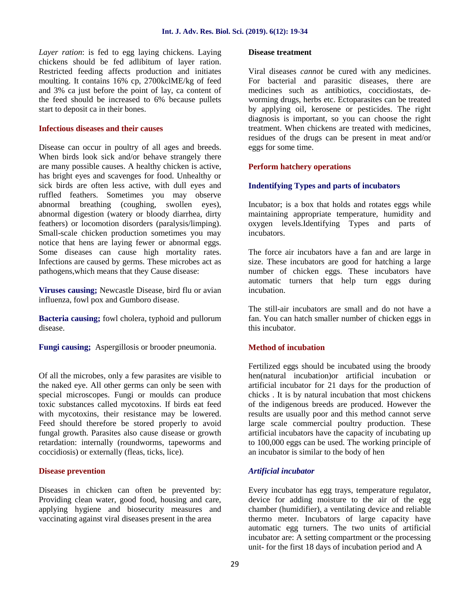*Layer ration*: is fed to egg laying chickens. Laying chickens should be fed adlibitum of layer ration. Restricted feeding affects production and initiates moulting. It contains 16% cp, 2700kclME/kg of feed and 3% ca just before the point of lay, ca content of the feed should be increased to 6% because pullets start to deposit ca in their bones.

## **Infectious diseases and their causes**

Disease can occur in poultry of all ages and breeds. When birds look sick and/or behave strangely there are many possible causes. A healthy chicken is active, has bright eyes and scavenges for food. Unhealthy or sick birds are often less active, with dull eyes and ruffled feathers. Sometimes you may observe abnormal breathing (coughing, swollen eyes), abnormal digestion (watery or bloody diarrhea, dirty feathers) or locomotion disorders (paralysis/limping). Small-scale chicken production sometimes you may notice that hens are laying fewer or abnormal eggs. Some diseases can cause high mortality rates. Infections are caused by germs. These microbes act as pathogens,which means that they Cause disease:

**Viruses causing;** Newcastle Disease, bird flu or avian influenza, fowl pox and Gumboro disease.

**Bacteria causing;** fowl cholera, typhoid and pullorum disease.

**Fungi causing;** Aspergillosis or brooder pneumonia.

Of all the microbes, only a few parasites are visible to the naked eye. All other germs can only be seen with special microscopes. Fungi or moulds can produce toxic substances called mycotoxins. If birds eat feed with mycotoxins, their resistance may be lowered. Feed should therefore be stored properly to avoid fungal growth. Parasites also cause disease or growth retardation: internally (roundworms, tapeworms and coccidiosis) or externally (fleas, ticks, lice).

## **Disease prevention**

Diseases in chicken can often be prevented by: Providing clean water, good food, housing and care, applying hygiene and biosecurity measures and vaccinating against viral diseases present in the area

#### **Disease treatment**

Viral diseases *cannot* be cured with any medicines. For bacterial and parasitic diseases, there are medicines such as antibiotics, coccidiostats, de worming drugs, herbs etc. Ectoparasites can be treated by applying oil, kerosene or pesticides. The right diagnosis is important, so you can choose the right treatment. When chickens are treated with medicines, residues of the drugs can be present in meat and/or eggs for some time.

## **Perform hatchery operations**

#### **Indentifying Types and parts of incubators**

Incubator; is a box that holds and rotates eggs while maintaining appropriate temperature, humidity and oxygen levels.Identifying Types and parts of incubators.

The force air incubators have a fan and are large in size. These incubators are good for hatching a large number of chicken eggs. These incubators have automatic turners that help turn eggs during incubation.

The still-air incubators are small and do not have a fan. You can hatch smaller number of chicken eggs in this incubator.

## **Method of incubation**

Fertilized eggs should be incubated using the broody hen(natural incubation)or artificial incubation or artificial incubator for 21 days for the production of chicks . It is by natural incubation that most chickens of the indigenous breeds are produced. However the results are usually poor and this method cannot serve large scale commercial poultry production. These artificial incubators have the capacity of incubating up to 100,000 eggs can be used. The working principle of an incubator is similar to the body of hen

## *Artificial incubator*

Every incubator has egg trays, temperature regulator, device for adding moisture to the air of the egg chamber (humidifier), a ventilating device and reliable thermo meter. Incubators of large capacity have automatic egg turners. The two units of artificial incubator are: A setting compartment or the processing unit- for the first 18 days of incubation period and A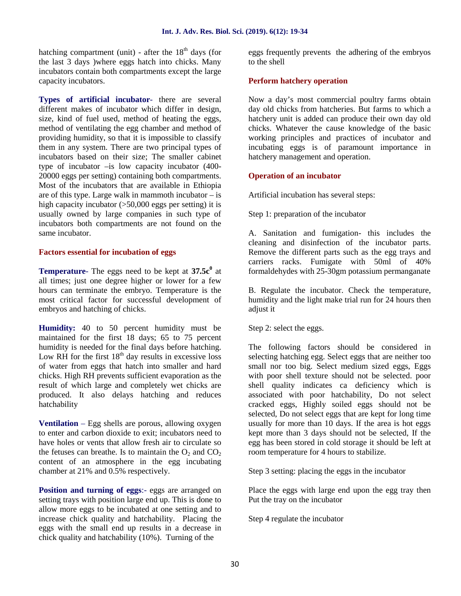hatching compartment (unit) - after the  $18<sup>th</sup>$  days (for the last 3 days )where eggs hatch into chicks. Many incubators contain both compartments except the large capacity incubators.

**Types of artificial incubator***-* there are several different makes of incubator which differ in design, size, kind of fuel used, method of heating the eggs, method of ventilating the egg chamber and method of providing humidity, so that it is impossible to classify them in any system. There are two principal types of incubators based on their size; The smaller cabinet type of incubator –is low capacity incubator (400- 20000 eggs per setting) containing both compartments. Most of the incubators that are available in Ethiopia are of this type. Large walk in mammoth incubator  $-\dot{i}s$ high capacity incubator (>50,000 eggs per setting) it is usually owned by large companies in such type of incubators both compartments are not found on the same incubator.

## **Factors essential for incubation of eggs**

**Temperature**- The eggs need to be kept at **37.5c<sup>0</sup>** at all times; just one degree higher or lower for a few hours can terminate the embryo. Temperature is the most critical factor for successful development of embryos and hatching of chicks.

**Humidity:** 40 to 50 percent humidity must be maintained for the first 18 days; 65 to 75 percent humidity is needed for the final days before hatching. Low RH for the first  $18<sup>th</sup>$  day results in excessive loss of water from eggs that hatch into smaller and hard chicks. High RH prevents sufficient evaporation as the result of which large and completely wet chicks are produced. It also delays hatching and reduces hatchability

**Ventilation** – Egg shells are porous, allowing oxygen to enter and carbon dioxide to exit; incubators need to have holes or vents that allow fresh air to circulate so the fetuses can breathe. Is to maintain the  $O_2$  and  $CO_2$ content of an atmosphere in the egg incubating chamber at 21% and 0.5% respectively.

**Position and turning of eggs:**- eggs are arranged on setting trays with position large end up. This is done to allow more eggs to be incubated at one setting and to increase chick quality and hatchability. Placing the eggs with the small end up results in a decrease in chick quality and hatchability (10%). Turning of the

eggs frequently prevents the adhering of the embryos to the shell

## **Perform hatchery operation**

Now a day's most commercial poultry farms obtain day old chicks from hatcheries. But farms to which a hatchery unit is added can produce their own day old chicks. Whatever the cause knowledge of the basic working principles and practices of incubator and incubating eggs is of paramount importance in hatchery management and operation.

## **Operation of an incubator**

Artificial incubation has several steps:

Step 1: preparation of the incubator

A. Sanitation and fumigation- this includes the cleaning and disinfection of the incubator parts. Remove the different parts such as the egg trays and carriers racks. Fumigate with 50ml of 40% formaldehydes with 25-30gm potassium permanganate

B. Regulate the incubator. Check the temperature, humidity and the light make trial run for 24 hours then adjust it

Step 2: select the eggs.

The following factors should be considered in selecting hatching egg. Select eggs that are neither too small nor too big. Select medium sized eggs, Eggs with poor shell texture should not be selected. poor shell quality indicates ca deficiency which is associated with poor hatchability, Do not select cracked eggs, Highly soiled eggs should not be selected, Do not select eggs that are kept for long time usually for more than 10 days. If the area is hot eggs kept more than 3 days should not be selected, If the egg has been stored in cold storage it should be left at room temperature for 4 hours to stabilize.

Step 3 setting: placing the eggs in the incubator

Place the eggs with large end upon the egg tray then Put the tray on the incubator

Step 4 regulate the incubator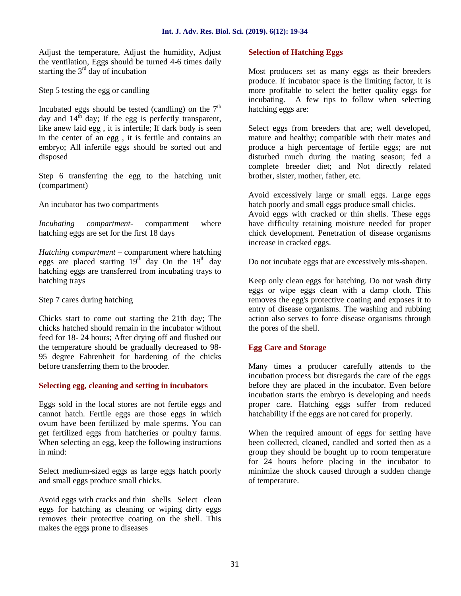Adjust the temperature, Adjust the humidity, Adjust the ventilation, Eggs should be turned 4-6 times daily starting the  $3<sup>rd</sup>$  day of incubation

Step 5 testing the egg or candling

Incubated eggs should be tested (candling) on the  $7<sup>th</sup>$ day and  $14^{th}$  day; If the egg is perfectly transparent, like anew laid egg , it is infertile; If dark body is seen in the center of an egg , it is fertile and contains an embryo; All infertile eggs should be sorted out and disposed

Step 6 transferring the egg to the hatching unit (compartment)

An incubator has two compartments

*Incubating compartment*- compartment where hatching eggs are set for the first 18 days

*Hatching compartment* – compartment where hatching eggs are placed starting  $19<sup>th</sup>$  day On the  $19<sup>th</sup>$  day hatching eggs are transferred from incubating trays to hatching trays

Step 7 cares during hatching

Chicks start to come out starting the 21th day; The chicks hatched should remain in the incubator without feed for 18- 24 hours; After drying off and flushed out the temperature should be gradually decreased to 98- 95 degree Fahrenheit for hardening of the chicks before transferring them to the brooder.

## **Selecting egg, cleaning and setting in incubators**

Eggs sold in the local stores are not fertile eggs and cannot hatch. Fertile eggs are those eggs in which ovum have been fertilized by male sperms. You can get fertilized eggs from hatcheries or poultry farms. When selecting an egg, keep the following instructions in mind:

Select medium-sized eggs as large eggs hatch poorly and small eggs produce small chicks.

Avoid eggs with cracks and thin shells Select clean eggs for hatching as cleaning or wiping dirty eggs removes their protective coating on the shell. This makes the eggs prone to diseases

## **Selection of Hatching Eggs**

Most producers set as many eggs as their breeders produce. If incubator space is the limiting factor, it is more profitable to select the better quality eggs for incubating. A few tips to follow when selecting hatching eggs are:

Select eggs from breeders that are; well developed, mature and healthy; compatible with their mates and produce a high percentage of fertile eggs; are not disturbed much during the mating season; fed a complete breeder diet; and Not directly related brother, sister, mother, father, etc.

Avoid excessively large or small eggs. Large eggs hatch poorly and small eggs produce small chicks.

Avoid eggs with cracked or thin shells. These eggs have difficulty retaining moisture needed for proper chick development. Penetration of disease organisms increase in cracked eggs.

Do not incubate eggs that are excessively mis-shapen.

Keep only clean eggs for hatching. Do not wash dirty eggs or wipe eggs clean with a damp cloth. This removes the egg's protective coating and exposes it to entry of disease organisms. The washing and rubbing action also serves to force disease organisms through the pores of the shell.

## **Egg Care and Storage**

Many times a producer carefully attends to the incubation process but disregards the care of the eggs before they are placed in the incubator. Even before incubation starts the embryo is developing and needs proper care. Hatching eggs suffer from reduced hatchability if the eggs are not cared for properly.

When the required amount of eggs for setting have been collected, cleaned, candled and sorted then as a group they should be bought up to room temperature for 24 hours before placing in the incubator to minimize the shock caused through a sudden change of temperature.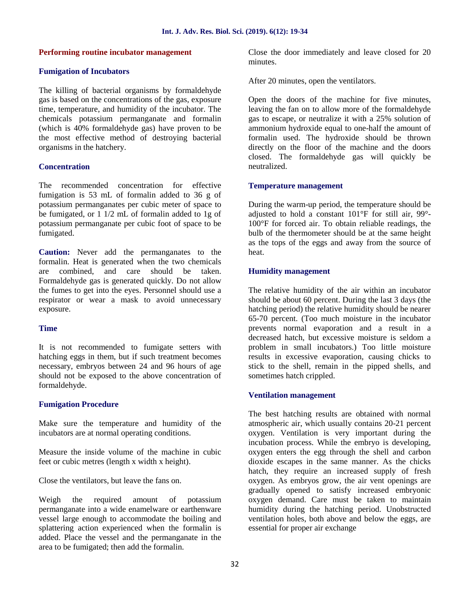## **Performing routine incubator management**

## **Fumigation of Incubators**

The killing of bacterial organisms by formaldehyde gas is based on the concentrations of the gas, exposure time, temperature, and humidity of the incubator. The chemicals potassium permanganate and formalin (which is 40% formaldehyde gas) have proven to be the most effective method of destroying bacterial organisms in the hatchery.

## **Concentration**

The recommended concentration for effective fumigation is 53 mL of formalin added to 36 g of potassium permanganates per cubic meter of space to be fumigated, or 1 1/2 mL of formalin added to 1g of potassium permanganate per cubic foot of space to be fumigated.

**Caution:** Never add the permanganates to the formalin. Heat is generated when the two chemicals are combined, and care should be taken. Formaldehyde gas is generated quickly. Do not allow the fumes to get into the eyes. Personnel should use a respirator or wear a mask to avoid unnecessary exposure.

## **Time**

It is not recommended to fumigate setters with hatching eggs in them, but if such treatment becomes necessary, embryos between 24 and 96 hours of age should not be exposed to the above concentration of formaldehyde.

## **Fumigation Procedure**

Make sure the temperature and humidity of the incubators are at normal operating conditions.

Measure the inside volume of the machine in cubic feet or cubic metres (length x width x height).

Close the ventilators, but leave the fans on.

Weigh the required amount of potassium permanganate into a wide enamelware or earthenware vessel large enough to accommodate the boiling and splattering action experienced when the formalin is added. Place the vessel and the permanganate in the area to be fumigated; then add the formalin.

Close the door immediately and leave closed for 20 minutes.

After 20 minutes, open the ventilators.

Open the doors of the machine for five minutes, leaving the fan on to allow more of the formaldehyde gas to escape, or neutralize it with a 25% solution of ammonium hydroxide equal to one-half the amount of formalin used. The hydroxide should be thrown directly on the floor of the machine and the doors closed. The formaldehyde gas will quickly be neutralized.

## **Temperature management**

During the warm-up period, the temperature should be adjusted to hold a constant 101°F for still air, 99°- 100°F for forced air. To obtain reliable readings, the bulb of the thermometer should be at the same height as the tops of the eggs and away from the source of heat.

## **Humidity management**

The relative humidity of the air within an incubator should be about 60 percent. During the last 3 days (the hatching period) the relative humidity should be nearer 65-70 percent. (Too much moisture in the incubator prevents normal evaporation and a result in a decreased hatch, but excessive moisture is seldom a problem in small incubators.) Too little moisture results in excessive evaporation, causing chicks to stick to the shell, remain in the pipped shells, and sometimes hatch crippled.

## **Ventilation management**

The best hatching results are obtained with normal atmospheric air, which usually contains 20-21 percent oxygen. Ventilation is very important during the incubation process. While the embryo is developing, oxygen enters the egg through the shell and carbon dioxide escapes in the same manner. As the chicks hatch, they require an increased supply of fresh oxygen. As embryos grow, the air vent openings are gradually opened to satisfy increased embryonic oxygen demand. Care must be taken to maintain humidity during the hatching period. Unobstructed ventilation holes, both above and below the eggs, are essential for proper air exchange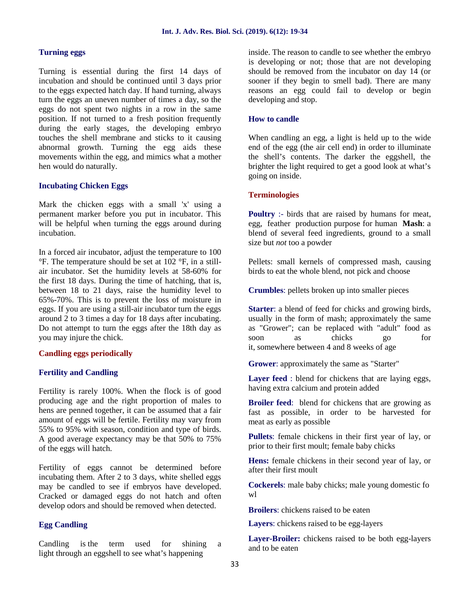#### **Turning eggs**

Turning is essential during the first 14 days of incubation and should be continued until 3 days prior to the eggs expected hatch day. If hand turning, always turn the eggs an uneven number of times a day, so the eggs do not spent two nights in a row in the same position. If not turned to a fresh position frequently during the early stages, the developing embryo touches the shell membrane and sticks to it causing abnormal growth. Turning the egg aids these movements within the egg, and mimics what a mother hen would do naturally.

## **Incubating Chicken Eggs**

Mark the chicken eggs with a small 'x' using a permanent marker before you put in incubator. This will be helpful when turning the eggs around during incubation.

In a forced air incubator, adjust the temperature to 100 °F. The temperature should be set at 102 °F, in a still air incubator. Set the humidity levels at 58-60% for the first 18 days. During the time of hatching, that is, between 18 to 21 days, raise the humidity level to 65%-70%. This is to prevent the loss of moisture in eggs. If you are using a still-air incubator turn the eggs around 2 to 3 times a day for 18 days after incubating. Do not attempt to turn the eggs after the 18th day as you may injure the chick.

#### **Candling eggs periodically**

## **Fertility and Candling**

Fertility is rarely 100%. When the flock is of good producing age and the right proportion of males to hens are penned together, it can be assumed that a fair amount of eggs will be fertile. Fertility may vary from 55% to 95% with season, condition and type of birds. A good average expectancy may be that 50% to 75% of the eggs will hatch.

Fertility of eggs cannot be determined before incubating them. After 2 to 3 days, white shelled eggs may be candled to see if embryos have developed. Cracked or damaged eggs do not hatch and often develop odors and should be removed when detected.

## **Egg Candling**

Candling is the term used for shining a light through an eggshell to see what's happening

inside. The reason to candle to see whether the embryo is developing or not; those that are not developing should be removed from the incubator on day 14 (or sooner if they begin to smell bad). There are many reasons an egg could fail to develop or begin developing and stop.

#### **How to candle**

When candling an egg, a light is held up to the wide end of the egg (the air cell end) in order to illuminate the shell's contents. The darker the eggshell, the brighter the light required to get a good look at what's going on inside.

## **Terminologies**

**Poultry** :- birds that are raised by humans for meat, egg, feather production purpose for human **Mash**: a blend of several feed ingredients, ground to a small size but *not* too a powder

Pellets: small kernels of compressed mash, causing birds to eat the whole blend, not pick and choose

**Crumbles**: pellets broken up into smaller pieces

**Starter**: a blend of feed for chicks and growing birds, usually in the form of mash; approximately the same as "Grower"; can be replaced with "adult" food as soon as chicks go for it, somewhere between 4 and 8 weeks of age

**Grower**: approximately the same as "Starter"

**Layer feed** : blend for chickens that are laying eggs, having extra calcium and protein added

**Broiler feed**: blend for chickens that are growing as fast as possible, in order to be harvested for meat as early as possible

**Pullets**: female chickens in their first year of lay, or prior to their first moult; female baby chicks

**Hens:** female chickens in their second year of lay, or after their first moult

**Cockerels**: male baby chicks; male young domestic fo wl

**Broilers**: chickens raised to be eaten

**Layers**: chickens raised to be egg-layers

**Layer-Broiler:** chickens raised to be both egg-layers and to be eaten